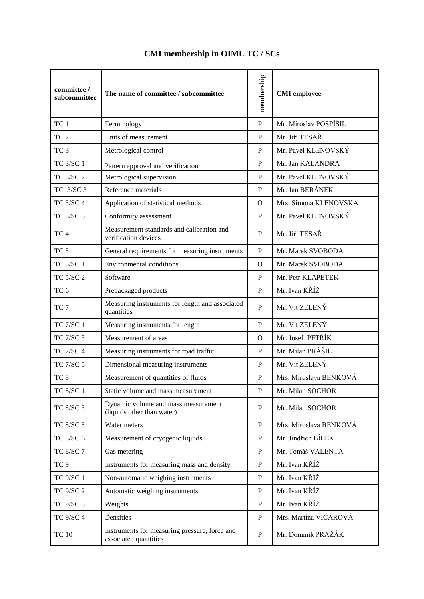| committee /<br>subcommittee | The name of committee / subcommittee                                   | membership   | <b>CMI</b> employee    |
|-----------------------------|------------------------------------------------------------------------|--------------|------------------------|
| TC <sub>1</sub>             | Terminology                                                            | $\mathbf{P}$ | Mr. Miroslav POSPÍŠIL  |
| TC <sub>2</sub>             | Units of measurement                                                   | P            | Mr. Jiří TESAŘ         |
| TC <sub>3</sub>             | Metrological control                                                   | P            | Mr. Pavel KLENOVSKÝ    |
| <b>TC 3/SC 1</b>            | Pattern approval and verification                                      | P            | Mr. Jan KALANDRA       |
| <b>TC 3/SC 2</b>            | Metrological supervision                                               | P            | Mr. Pavel KLENOVSKÝ    |
| TC 3/SC 3                   | Reference materials                                                    | $\mathbf{P}$ | Mr. Jan BERÁNEK        |
| <b>TC 3/SC 4</b>            | Application of statistical methods                                     | $\Omega$     | Mrs. Simona KLENOVSKÁ  |
| TC 3/SC 5                   | Conformity assessment                                                  | P            | Mr. Pavel KLENOVSKÝ    |
| TC <sub>4</sub>             | Measurement standards and calibration and<br>verification devices      | P            | Mr. Jiří TESAŘ         |
| TC <sub>5</sub>             | General requirements for measuring instruments                         | $\mathbf{P}$ | Mr. Marek SVOBODA      |
| <b>TC 5/SC 1</b>            | <b>Environmental conditions</b>                                        | $\Omega$     | Mr. Marek SVOBODA      |
| <b>TC 5/SC 2</b>            | Software                                                               | P            | Mr. Petr KLAPETEK      |
| TC <sub>6</sub>             | Prepackaged products                                                   | $\mathbf{P}$ | Mr. Ivan KŘÍŽ          |
| TC <sub>7</sub>             | Measuring instruments for length and associated<br>quantities          | P            | Mr. Vít ZELENÝ         |
| <b>TC 7/SC 1</b>            | Measuring instruments for length                                       | $\mathbf{P}$ | Mr. Vít ZELENÝ         |
| <b>TC 7/SC 3</b>            | Measurement of areas                                                   | $\Omega$     | Mr. Josef PETŘÍK       |
| <b>TC 7/SC 4</b>            | Measuring instruments for road traffic                                 | P            | Mr. Milan PRÁŠIL       |
| <b>TC 7/SC 5</b>            | Dimensional measuring instruments                                      | $\mathbf{P}$ | Mr. Vít ZELENÝ         |
| TC <sub>8</sub>             | Measurement of quantities of fluids                                    | P            | Mrs. Miroslava BENKOVÁ |
| <b>TC 8/SC 1</b>            | Static volume and mass measurement                                     | $\mathbf P$  | Mr. Milan SOCHOR       |
| TC 8/SC 3                   | Dynamic volume and mass measurement<br>(liquids other than water)      | $\mathbf P$  | Mr. Milan SOCHOR       |
| TC 8/SC 5                   | Water meters                                                           | $\, {\bf P}$ | Mrs. Miroslava BENKOVÁ |
| TC 8/SC 6                   | Measurement of cryogenic liquids                                       | ${\bf P}$    | Mr. Jindřich BÍLEK     |
| TC 8/SC 7                   | Gas metering                                                           | $\mathbf{P}$ | Mr. Tomáš VALENTA      |
| TC <sub>9</sub>             | Instruments for measuring mass and density                             | $\mathbf{P}$ | Mr. Ivan KŘÍŽ          |
| <b>TC 9/SC 1</b>            | Non-automatic weighing instruments                                     | $\mathbf{P}$ | Mr. Ivan KŘÍŽ          |
| <b>TC 9/SC 2</b>            | Automatic weighing instruments                                         | $\mathbf{P}$ | Mr. Ivan KŘÍŽ          |
| TC 9/SC 3                   | Weights                                                                | $\mathbf{P}$ | Mr. Ivan KŘÍŽ          |
| <b>TC 9/SC 4</b>            | Densities                                                              | $\mathbf{P}$ | Mrs. Martina VIČAROVÁ  |
| <b>TC 10</b>                | Instruments for measuring pressure, force and<br>associated quantities | $\mathbf{P}$ | Mr. Dominik PRAŽÁK     |

## **CMI membership in OIML TC / SCs**